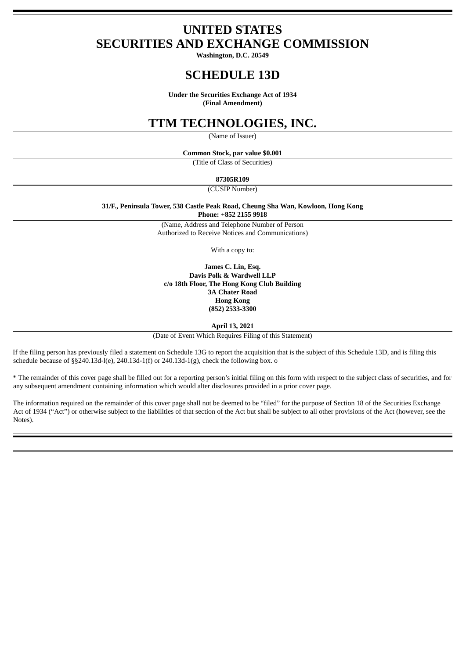# **UNITED STATES SECURITIES AND EXCHANGE COMMISSION**

**Washington, D.C. 20549**

# **SCHEDULE 13D**

**Under the Securities Exchange Act of 1934 (Final Amendment)**

# **TTM TECHNOLOGIES, INC.**

(Name of Issuer)

**Common Stock, par value \$0.001**

(Title of Class of Securities)

### **87305R109**

(CUSIP Number)

**31/F., Peninsula Tower, 538 Castle Peak Road, Cheung Sha Wan, Kowloon, Hong Kong Phone: +852 2155 9918**

> (Name, Address and Telephone Number of Person Authorized to Receive Notices and Communications)

> > With a copy to:

**James C. Lin, Esq. Davis Polk & Wardwell LLP c/o 18th Floor, The Hong Kong Club Building 3A Chater Road Hong Kong (852) 2533-3300**

**April 13, 2021**

(Date of Event Which Requires Filing of this Statement)

If the filing person has previously filed a statement on Schedule 13G to report the acquisition that is the subject of this Schedule 13D, and is filing this schedule because of §§240.13d-l(e), 240.13d-1(f) or 240.13d-1(g), check the following box. o

\* The remainder of this cover page shall be filled out for a reporting person's initial filing on this form with respect to the subject class of securities, and for any subsequent amendment containing information which would alter disclosures provided in a prior cover page.

The information required on the remainder of this cover page shall not be deemed to be "filed" for the purpose of Section 18 of the Securities Exchange Act of 1934 ("Act") or otherwise subject to the liabilities of that section of the Act but shall be subject to all other provisions of the Act (however, see the Notes).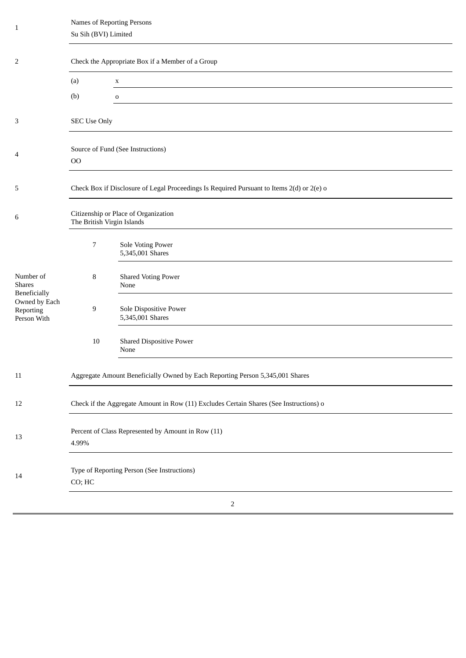| $\mathbf{1}$                                                     | Names of Reporting Persons<br>Su Sih (BVI) Limited                                        |                                            |  |  |
|------------------------------------------------------------------|-------------------------------------------------------------------------------------------|--------------------------------------------|--|--|
| 2                                                                | Check the Appropriate Box if a Member of a Group                                          |                                            |  |  |
|                                                                  | (a)                                                                                       | $\mathbf X$                                |  |  |
|                                                                  | (b)                                                                                       | $\mathbf 0$                                |  |  |
| 3                                                                | <b>SEC Use Only</b>                                                                       |                                            |  |  |
| 4                                                                | Source of Fund (See Instructions)<br>00                                                   |                                            |  |  |
| 5                                                                | Check Box if Disclosure of Legal Proceedings Is Required Pursuant to Items 2(d) or 2(e) o |                                            |  |  |
| 6                                                                | Citizenship or Place of Organization<br>The British Virgin Islands                        |                                            |  |  |
|                                                                  | 7                                                                                         | Sole Voting Power<br>5,345,001 Shares      |  |  |
| Number of<br><b>Shares</b>                                       | 8                                                                                         | <b>Shared Voting Power</b><br>None         |  |  |
| <b>Beneficially</b><br>Owned by Each<br>Reporting<br>Person With | 9                                                                                         | Sole Dispositive Power<br>5,345,001 Shares |  |  |
|                                                                  | 10                                                                                        | <b>Shared Dispositive Power</b><br>None    |  |  |
| $11\,$                                                           | Aggregate Amount Beneficially Owned by Each Reporting Person 5,345,001 Shares             |                                            |  |  |
| $12\,$                                                           | Check if the Aggregate Amount in Row (11) Excludes Certain Shares (See Instructions) o    |                                            |  |  |
| 13                                                               | Percent of Class Represented by Amount in Row (11)<br>4.99%                               |                                            |  |  |
| 14                                                               | Type of Reporting Person (See Instructions)<br>CO; HC                                     |                                            |  |  |
|                                                                  |                                                                                           | $\overline{2}$                             |  |  |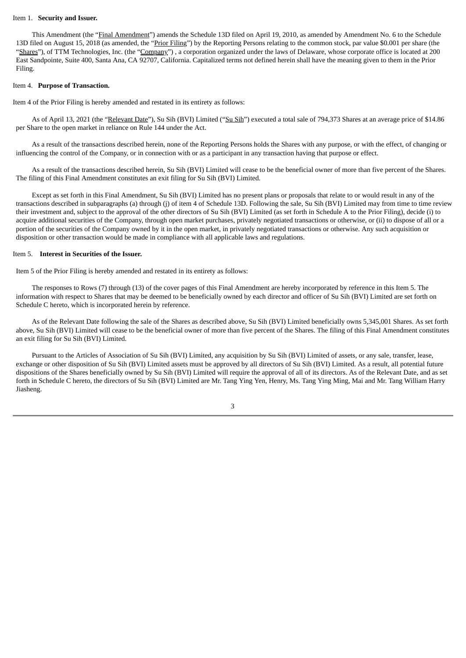#### Item 1. **Security and Issuer.**

This Amendment (the "Final Amendment") amends the Schedule 13D filed on April 19, 2010, as amended by Amendment No. 6 to the Schedule 13D filed on August 15, 2018 (as amended, the "Prior Filing") by the Reporting Persons relating to the common stock, par value \$0.001 per share (the "Shares"), of TTM Technologies, Inc. (the "Company"), a corporation organized under the laws of Delaware, whose corporate office is located at 200 East Sandpointe, Suite 400, Santa Ana, CA 92707, California. Capitalized terms not defined herein shall have the meaning given to them in the Prior Filing.

#### Item 4. **Purpose of Transaction.**

Item 4 of the Prior Filing is hereby amended and restated in its entirety as follows:

As of April 13, 2021 (the "Relevant Date"), Su Sih (BVI) Limited ("Su Sih") executed a total sale of 794,373 Shares at an average price of \$14.86 per Share to the open market in reliance on Rule 144 under the Act.

As a result of the transactions described herein, none of the Reporting Persons holds the Shares with any purpose, or with the effect, of changing or influencing the control of the Company, or in connection with or as a participant in any transaction having that purpose or effect.

As a result of the transactions described herein, Su Sih (BVI) Limited will cease to be the beneficial owner of more than five percent of the Shares. The filing of this Final Amendment constitutes an exit filing for Su Sih (BVI) Limited.

Except as set forth in this Final Amendment, Su Sih (BVI) Limited has no present plans or proposals that relate to or would result in any of the transactions described in subparagraphs (a) through (j) of item 4 of Schedule 13D. Following the sale, Su Sih (BVI) Limited may from time to time review their investment and, subject to the approval of the other directors of Su Sih (BVI) Limited (as set forth in Schedule A to the Prior Filing), decide (i) to acquire additional securities of the Company, through open market purchases, privately negotiated transactions or otherwise, or (ii) to dispose of all or a portion of the securities of the Company owned by it in the open market, in privately negotiated transactions or otherwise. Any such acquisition or disposition or other transaction would be made in compliance with all applicable laws and regulations.

#### Item 5. **Interest in Securities of the Issuer.**

Item 5 of the Prior Filing is hereby amended and restated in its entirety as follows:

The responses to Rows (7) through (13) of the cover pages of this Final Amendment are hereby incorporated by reference in this Item 5. The information with respect to Shares that may be deemed to be beneficially owned by each director and officer of Su Sih (BVI) Limited are set forth on Schedule C hereto, which is incorporated herein by reference.

As of the Relevant Date following the sale of the Shares as described above, Su Sih (BVI) Limited beneficially owns 5,345,001 Shares. As set forth above, Su Sih (BVI) Limited will cease to be the beneficial owner of more than five percent of the Shares. The filing of this Final Amendment constitutes an exit filing for Su Sih (BVI) Limited.

Pursuant to the Articles of Association of Su Sih (BVI) Limited, any acquisition by Su Sih (BVI) Limited of assets, or any sale, transfer, lease, exchange or other disposition of Su Sih (BVI) Limited assets must be approved by all directors of Su Sih (BVI) Limited. As a result, all potential future dispositions of the Shares beneficially owned by Su Sih (BVI) Limited will require the approval of all of its directors. As of the Relevant Date, and as set forth in Schedule C hereto, the directors of Su Sih (BVI) Limited are Mr. Tang Ying Yen, Henry, Ms. Tang Ying Ming, Mai and Mr. Tang William Harry Jiasheng.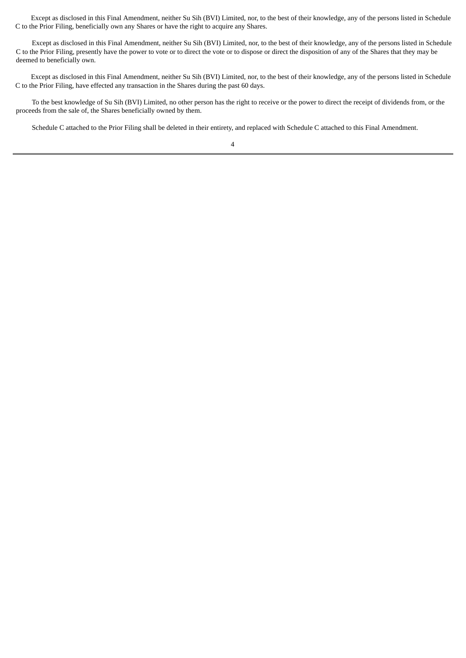Except as disclosed in this Final Amendment, neither Su Sih (BVI) Limited, nor, to the best of their knowledge, any of the persons listed in Schedule C to the Prior Filing, beneficially own any Shares or have the right to acquire any Shares.

Except as disclosed in this Final Amendment, neither Su Sih (BVI) Limited, nor, to the best of their knowledge, any of the persons listed in Schedule C to the Prior Filing, presently have the power to vote or to direct the vote or to dispose or direct the disposition of any of the Shares that they may be deemed to beneficially own.

Except as disclosed in this Final Amendment, neither Su Sih (BVI) Limited, nor, to the best of their knowledge, any of the persons listed in Schedule C to the Prior Filing, have effected any transaction in the Shares during the past 60 days.

To the best knowledge of Su Sih (BVI) Limited, no other person has the right to receive or the power to direct the receipt of dividends from, or the proceeds from the sale of, the Shares beneficially owned by them.

Schedule C attached to the Prior Filing shall be deleted in their entirety, and replaced with Schedule C attached to this Final Amendment.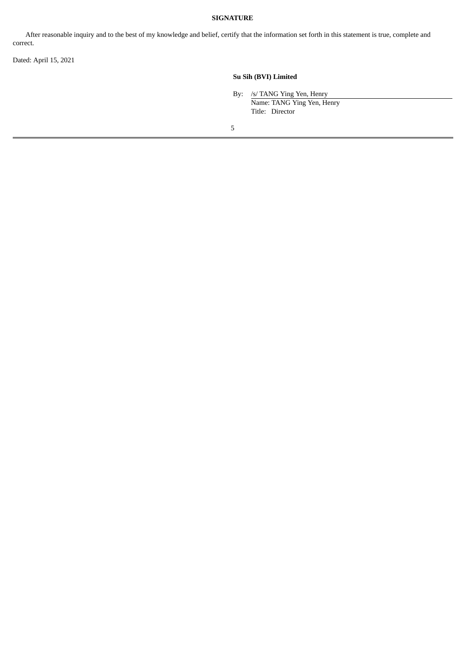### **SIGNATURE**

After reasonable inquiry and to the best of my knowledge and belief, certify that the information set forth in this statement is true, complete and correct.

Dated: April 15, 2021

## **Su Sih (BVI) Limited**

By: /s/ TANG Ying Yen, Henry Name: TANG Ying Yen, Henry Title: Director

5